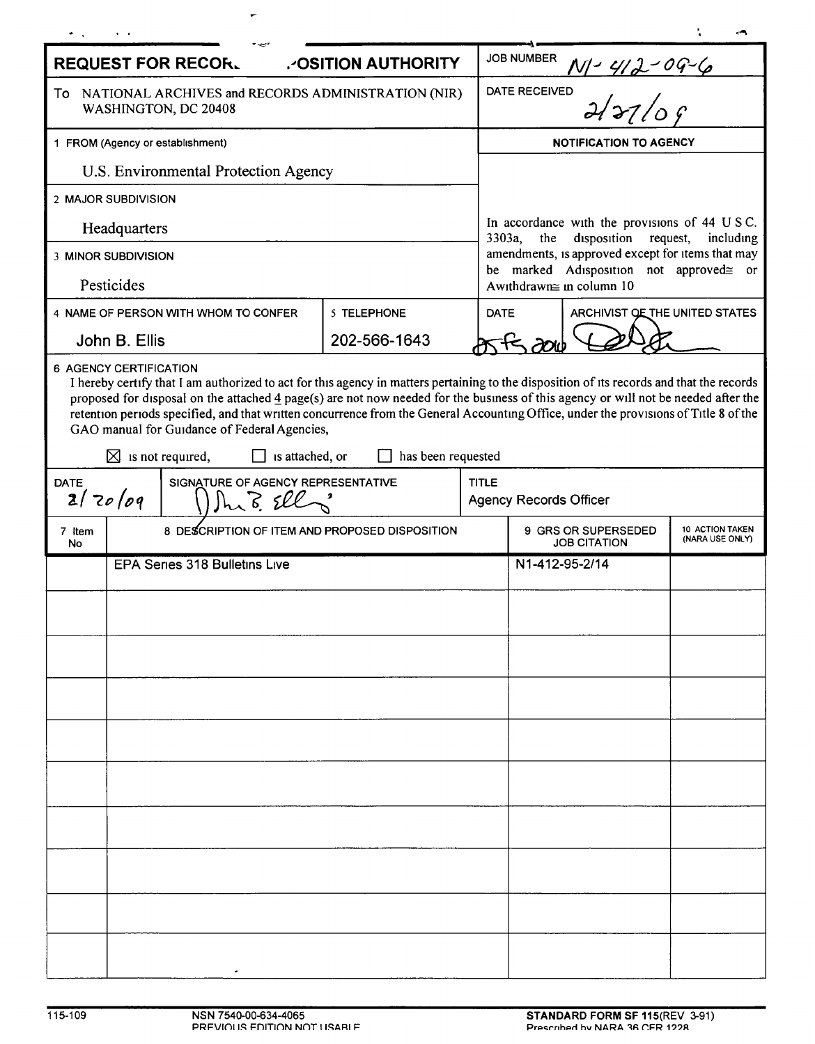| <b>JOB NUMBER</b><br><b>REQUEST FOR RECOR.</b><br>.- OSITION AUTHORITY<br>N-412-09-6<br>Dal 27/09<br><b>DATE RECEIVED</b><br>To NATIONAL ARCHIVES and RECORDS ADMINISTRATION (NIR)<br>WASHINGTON, DC 20408<br><b>NOTIFICATION TO AGENCY</b><br>1 FROM (Agency or establishment)<br>U.S. Environmental Protection Agency<br>2 MAJOR SUBDIVISION<br>In accordance with the provisions of 44 U S C.<br>Headquarters<br>3303a,<br>the<br>disposition<br>request,<br>including<br>amendments, is approved except for items that may<br>3 MINOR SUBDIVISION<br>be marked Adisposition not approved≅ or<br>Pesticides<br>Awithdrawn≅ in column 10<br>5 TELEPHONE<br>ARCHIVIST OF THE UNITED STATES<br>4 NAME OF PERSON WITH WHOM TO CONFER<br><b>DATE</b><br>202-566-1643<br>John B. Ellis<br>6 AGENCY CERTIFICATION<br>I hereby certify that I am authorized to act for this agency in matters pertaining to the disposition of its records and that the records<br>proposed for disposal on the attached 4 page(s) are not now needed for the business of this agency or will not be needed after the<br>retention periods specified, and that written concurrence from the General Accounting Office, under the provisions of Title 8 of the<br>GAO manual for Guidance of Federal Agencies,<br>has been requested<br>⊠<br>is not required,<br>is attached, or<br>SIGNATURE OF AGENCY REPRESENTATIVE<br><b>TITLE</b><br><b>DATE</b><br>2/20/09<br>Shi B Ell<br><b>Agency Records Officer</b><br>9 GRS OR SUPERSEDED<br>10 ACTION TAKEN<br>8 DESCRIPTION OF ITEM AND PROPOSED DISPOSITION<br>7 Item<br>(NARA USE ONLY)<br><b>JOB CITATION</b><br>No.<br><b>EPA Series 318 Bulletins Live</b><br>N1-412-95-2/14 |  |  |  |  |  |  |  |  |  |
|-----------------------------------------------------------------------------------------------------------------------------------------------------------------------------------------------------------------------------------------------------------------------------------------------------------------------------------------------------------------------------------------------------------------------------------------------------------------------------------------------------------------------------------------------------------------------------------------------------------------------------------------------------------------------------------------------------------------------------------------------------------------------------------------------------------------------------------------------------------------------------------------------------------------------------------------------------------------------------------------------------------------------------------------------------------------------------------------------------------------------------------------------------------------------------------------------------------------------------------------------------------------------------------------------------------------------------------------------------------------------------------------------------------------------------------------------------------------------------------------------------------------------------------------------------------------------------------------------------------------------------------------------------------------------------------------------------------|--|--|--|--|--|--|--|--|--|
|                                                                                                                                                                                                                                                                                                                                                                                                                                                                                                                                                                                                                                                                                                                                                                                                                                                                                                                                                                                                                                                                                                                                                                                                                                                                                                                                                                                                                                                                                                                                                                                                                                                                                                           |  |  |  |  |  |  |  |  |  |
|                                                                                                                                                                                                                                                                                                                                                                                                                                                                                                                                                                                                                                                                                                                                                                                                                                                                                                                                                                                                                                                                                                                                                                                                                                                                                                                                                                                                                                                                                                                                                                                                                                                                                                           |  |  |  |  |  |  |  |  |  |
|                                                                                                                                                                                                                                                                                                                                                                                                                                                                                                                                                                                                                                                                                                                                                                                                                                                                                                                                                                                                                                                                                                                                                                                                                                                                                                                                                                                                                                                                                                                                                                                                                                                                                                           |  |  |  |  |  |  |  |  |  |
|                                                                                                                                                                                                                                                                                                                                                                                                                                                                                                                                                                                                                                                                                                                                                                                                                                                                                                                                                                                                                                                                                                                                                                                                                                                                                                                                                                                                                                                                                                                                                                                                                                                                                                           |  |  |  |  |  |  |  |  |  |
|                                                                                                                                                                                                                                                                                                                                                                                                                                                                                                                                                                                                                                                                                                                                                                                                                                                                                                                                                                                                                                                                                                                                                                                                                                                                                                                                                                                                                                                                                                                                                                                                                                                                                                           |  |  |  |  |  |  |  |  |  |
|                                                                                                                                                                                                                                                                                                                                                                                                                                                                                                                                                                                                                                                                                                                                                                                                                                                                                                                                                                                                                                                                                                                                                                                                                                                                                                                                                                                                                                                                                                                                                                                                                                                                                                           |  |  |  |  |  |  |  |  |  |
|                                                                                                                                                                                                                                                                                                                                                                                                                                                                                                                                                                                                                                                                                                                                                                                                                                                                                                                                                                                                                                                                                                                                                                                                                                                                                                                                                                                                                                                                                                                                                                                                                                                                                                           |  |  |  |  |  |  |  |  |  |
|                                                                                                                                                                                                                                                                                                                                                                                                                                                                                                                                                                                                                                                                                                                                                                                                                                                                                                                                                                                                                                                                                                                                                                                                                                                                                                                                                                                                                                                                                                                                                                                                                                                                                                           |  |  |  |  |  |  |  |  |  |
|                                                                                                                                                                                                                                                                                                                                                                                                                                                                                                                                                                                                                                                                                                                                                                                                                                                                                                                                                                                                                                                                                                                                                                                                                                                                                                                                                                                                                                                                                                                                                                                                                                                                                                           |  |  |  |  |  |  |  |  |  |
|                                                                                                                                                                                                                                                                                                                                                                                                                                                                                                                                                                                                                                                                                                                                                                                                                                                                                                                                                                                                                                                                                                                                                                                                                                                                                                                                                                                                                                                                                                                                                                                                                                                                                                           |  |  |  |  |  |  |  |  |  |
|                                                                                                                                                                                                                                                                                                                                                                                                                                                                                                                                                                                                                                                                                                                                                                                                                                                                                                                                                                                                                                                                                                                                                                                                                                                                                                                                                                                                                                                                                                                                                                                                                                                                                                           |  |  |  |  |  |  |  |  |  |
|                                                                                                                                                                                                                                                                                                                                                                                                                                                                                                                                                                                                                                                                                                                                                                                                                                                                                                                                                                                                                                                                                                                                                                                                                                                                                                                                                                                                                                                                                                                                                                                                                                                                                                           |  |  |  |  |  |  |  |  |  |
|                                                                                                                                                                                                                                                                                                                                                                                                                                                                                                                                                                                                                                                                                                                                                                                                                                                                                                                                                                                                                                                                                                                                                                                                                                                                                                                                                                                                                                                                                                                                                                                                                                                                                                           |  |  |  |  |  |  |  |  |  |
|                                                                                                                                                                                                                                                                                                                                                                                                                                                                                                                                                                                                                                                                                                                                                                                                                                                                                                                                                                                                                                                                                                                                                                                                                                                                                                                                                                                                                                                                                                                                                                                                                                                                                                           |  |  |  |  |  |  |  |  |  |
|                                                                                                                                                                                                                                                                                                                                                                                                                                                                                                                                                                                                                                                                                                                                                                                                                                                                                                                                                                                                                                                                                                                                                                                                                                                                                                                                                                                                                                                                                                                                                                                                                                                                                                           |  |  |  |  |  |  |  |  |  |
|                                                                                                                                                                                                                                                                                                                                                                                                                                                                                                                                                                                                                                                                                                                                                                                                                                                                                                                                                                                                                                                                                                                                                                                                                                                                                                                                                                                                                                                                                                                                                                                                                                                                                                           |  |  |  |  |  |  |  |  |  |
|                                                                                                                                                                                                                                                                                                                                                                                                                                                                                                                                                                                                                                                                                                                                                                                                                                                                                                                                                                                                                                                                                                                                                                                                                                                                                                                                                                                                                                                                                                                                                                                                                                                                                                           |  |  |  |  |  |  |  |  |  |
|                                                                                                                                                                                                                                                                                                                                                                                                                                                                                                                                                                                                                                                                                                                                                                                                                                                                                                                                                                                                                                                                                                                                                                                                                                                                                                                                                                                                                                                                                                                                                                                                                                                                                                           |  |  |  |  |  |  |  |  |  |
|                                                                                                                                                                                                                                                                                                                                                                                                                                                                                                                                                                                                                                                                                                                                                                                                                                                                                                                                                                                                                                                                                                                                                                                                                                                                                                                                                                                                                                                                                                                                                                                                                                                                                                           |  |  |  |  |  |  |  |  |  |
|                                                                                                                                                                                                                                                                                                                                                                                                                                                                                                                                                                                                                                                                                                                                                                                                                                                                                                                                                                                                                                                                                                                                                                                                                                                                                                                                                                                                                                                                                                                                                                                                                                                                                                           |  |  |  |  |  |  |  |  |  |
|                                                                                                                                                                                                                                                                                                                                                                                                                                                                                                                                                                                                                                                                                                                                                                                                                                                                                                                                                                                                                                                                                                                                                                                                                                                                                                                                                                                                                                                                                                                                                                                                                                                                                                           |  |  |  |  |  |  |  |  |  |
|                                                                                                                                                                                                                                                                                                                                                                                                                                                                                                                                                                                                                                                                                                                                                                                                                                                                                                                                                                                                                                                                                                                                                                                                                                                                                                                                                                                                                                                                                                                                                                                                                                                                                                           |  |  |  |  |  |  |  |  |  |
|                                                                                                                                                                                                                                                                                                                                                                                                                                                                                                                                                                                                                                                                                                                                                                                                                                                                                                                                                                                                                                                                                                                                                                                                                                                                                                                                                                                                                                                                                                                                                                                                                                                                                                           |  |  |  |  |  |  |  |  |  |
|                                                                                                                                                                                                                                                                                                                                                                                                                                                                                                                                                                                                                                                                                                                                                                                                                                                                                                                                                                                                                                                                                                                                                                                                                                                                                                                                                                                                                                                                                                                                                                                                                                                                                                           |  |  |  |  |  |  |  |  |  |
|                                                                                                                                                                                                                                                                                                                                                                                                                                                                                                                                                                                                                                                                                                                                                                                                                                                                                                                                                                                                                                                                                                                                                                                                                                                                                                                                                                                                                                                                                                                                                                                                                                                                                                           |  |  |  |  |  |  |  |  |  |
|                                                                                                                                                                                                                                                                                                                                                                                                                                                                                                                                                                                                                                                                                                                                                                                                                                                                                                                                                                                                                                                                                                                                                                                                                                                                                                                                                                                                                                                                                                                                                                                                                                                                                                           |  |  |  |  |  |  |  |  |  |

 $\leftarrow$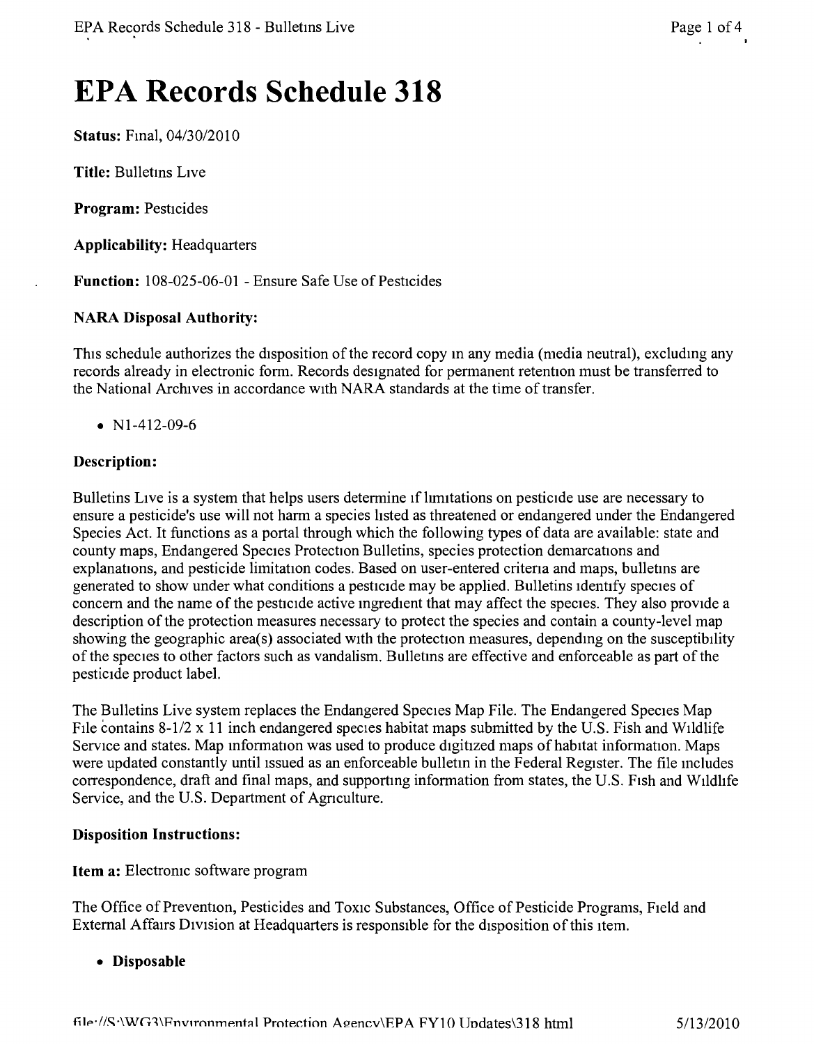# **EPA Records Schedule 318**

**Status:** Fmal, *04/30/2010*

**Title:** Bulletms LIVe

**Program:** Pesticides

**Applicability:** Headquarters

**Function:** 108-025-06-01 - Ensure Safe Use of Pesticides

## **NARA Disposal Authority:**

This schedule authorizes the disposition of the record copy in any media (media neutral), excluding any records already in electronic form. Records designated for permanent retention must be transferred to the National Archives in accordance WIth NARA standards at the time of transfer.

• N<sub>1</sub>-4<sub>12</sub>-09-6

## **Description:**

Bulletins LIve is a system that helps users determine If hrmtations on pesticide use are necessary to ensure a pesticide's use will not harm a species hsted as threatened or endangered under the Endangered Species Act. It functions as a portal through which the following types of data are available: state and county maps, Endangered Species Protection Bulletins, species protection demarcations and explanations, and pesticide limitation codes. Based on user-entered criteria and maps, bulletins are generated to show under what conditions a pesticide may be applied. Bulletins identify species of concern and the name of the pesticide active ingredient that may affect the species. They also provide a description of the protection measures necessary to protect the species and contain a county-level map showing the geographic area(s) associated WIth the protection measures, dependmg on the susceptibility of the species to other factors such as vandalism. Bulletms are effective and enforceable as part of the pesticide product label.

The Bulletins Live system replaces the Endangered Species Map File. The Endangered Species Map File contains 8-1/2 x 11 inch endangered species habitat maps submitted by the U.S. Fish and Wildlife Service and states. Map information was used to produce digitized maps of habitat information. Maps were updated constantly until issued as an enforceable bulletin in the Federal Register. The file includes correspondence, draft and final maps, and supporting information from states, the U.S. Fish and Wildlife Service, and the U.S. Department of Agnculture.

#### **Disposition Instructions:**

#### **Item a:** Electronic software program

The Office of Prevention, Pesticides and Toxic Substances, Office of Pesticide Programs, Field and External Affairs Division at Headquarters is responsible for the disposition of this item.

**• Disposable**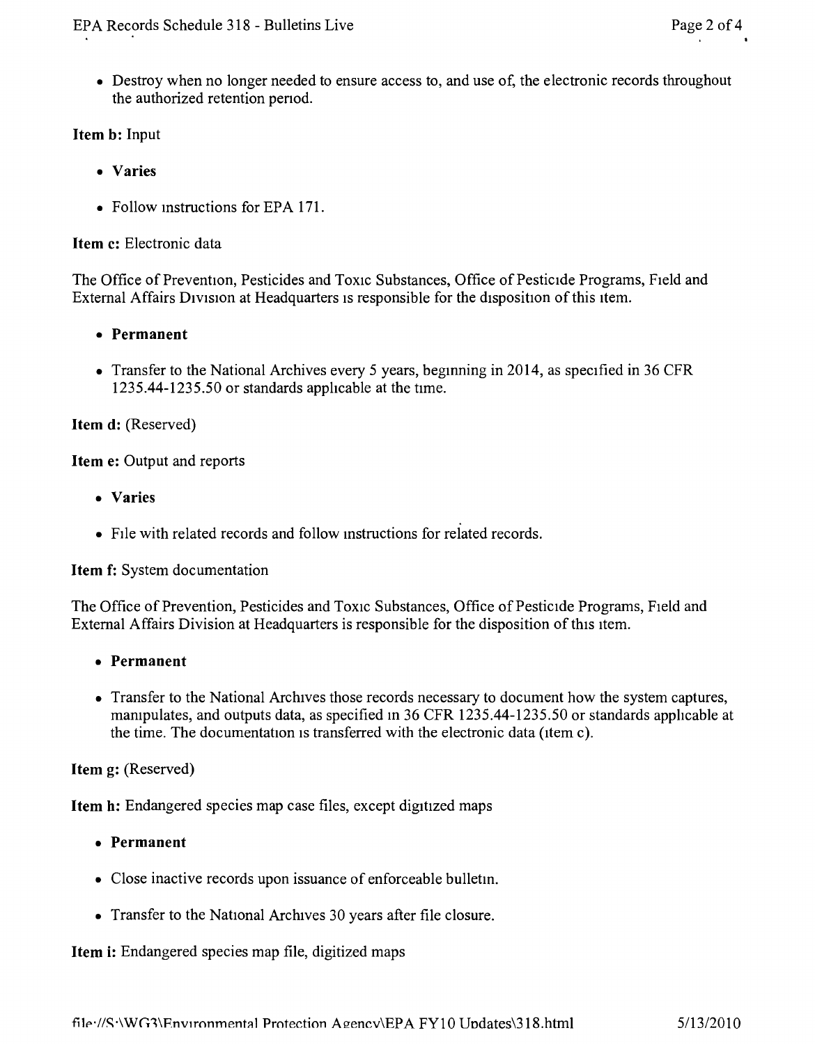• Destroy when no longer needed to ensure access to, and use of, the electronic records throughout the authorized retention penod.

## **Item** b: Input

- • Varies
- Follow instructions for EPA 171.

#### **Item** c: Electronic data

The Office of Prevention, Pesticides and Toxic Substances, Office of Pesticide Programs, Field and External Affairs Division at Headquarters is responsible for the disposition of this item.

- **• Permanent**
- Transfer to the National Archives every 5 years, beginning in 2014, as specified in 36 CFR 1235.44-1235.50 or standards applicable at the time.

#### **Item** d: (Reserved)

**Item** e: Output and reports

- • Varies
- File with related records and follow instructions for related records.

#### **Item** f: System documentation

The Office of Prevention, Pesticides and Toxic Substances, Office of Pesticide Programs, Field and External Affairs Division at Headquarters is responsible for the disposition of this item.

- **• Permanent**
- Transfer to the National Archives those records necessary to document how the system captures, mampulates, and outputs data, as specified m 36 CFR 1235.44-1235.50 or standards apphcable at the time. The documentation is transferred with the electronic data (item c).

**Item** g: (Reserved)

**Item** h: Endangered species map case files, except digitized maps

- **• Permanent**
- Close inactive records upon issuance of enforceable bulletin.
- Transfer to the National Archives 30 years after file closure.

#### **Item** i: Endangered species map file, digitized maps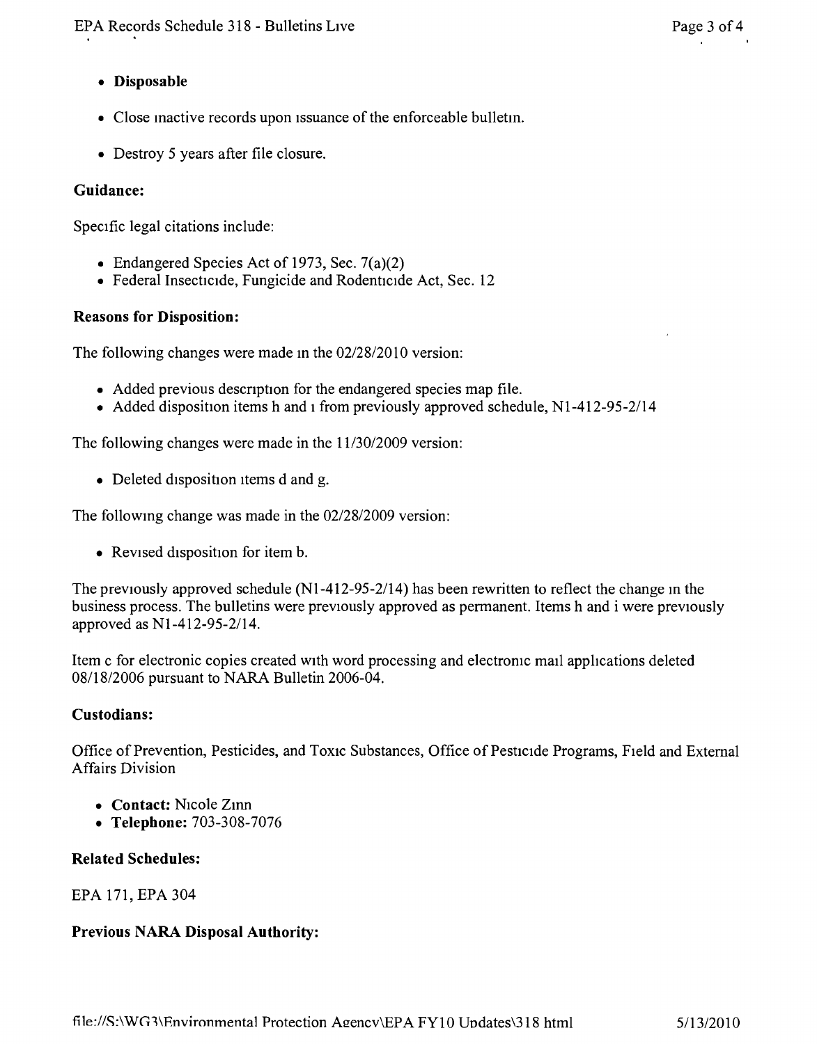# **• Disposable**

- Close mactive records upon Issuance of the enforceable bulletm.
- Destroy 5 years after file closure.

## **Guidance:**

Specific legal citations include:

- Endangered Species Act of 1973, Sec. 7(a)(2)
- Federal Insecticide, Fungicide and Rodenticide Act, Sec. 12

# **Reasons for Disposition:**

The following changes were made in the  $02/28/2010$  version:

- Added previous description for the endangered species map file.
- Added disposition items h and i from previously approved schedule, N1-412-95-2/14

The following changes were made in the *11130/2009* version:

• Deleted disposition items d and g.

The followmg change was made in the *02/28/2009* version:

• Revised disposition for item b.

The previously approved schedule (NI-412-95-2114) has been rewritten to reflect the change m the business process. The bulletins were previously approved as permanent. Items hand i were previously approved as NI-412-95-2114.

Item c for electronic copies created with word processing and electromc mail applications deleted *08118/2006* pursuant to NARA Bulletin 2006-04.

## **Custodians:**

Office of Prevention, Pesticides, and Toxic Substances, Office of Pesticide Programs, Field and External Affairs Division

- Contact: Nicole Zinn
- **• Telephone:** 703-308-7076

## **Related Schedules:**

EPA 171, EPA 304

# **Previous NARA Disposal Authority:**